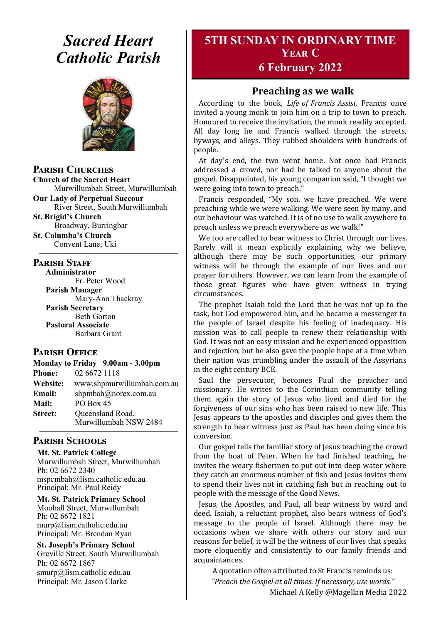# *Sacred Heart Catholic Parish*



**Parish Churches**

**Church of the Sacred Heart** Murwillumbah Street, Murwillumbah

**Our Lady of Perpetual Succour** River Street, South Murwillumbah

**St. Brigid's Church** Broadway, Burringbar

**St. Columba's Church** Convent Lane, Uki —————————————————

#### **PARISH STAFF**

**Administrator** Fr. Peter Wood **Parish Manager** Mary-Ann Thackray **Parish Secretary** Beth Gorton **Pastoral Associate** Barbara Grant

#### **Parish Office**

**Monday to Friday 9.00am - 3.00pm Phone:** 02 6672 1118 **Website:** www.shpmurwillumbah.com.au **Email:** shpmbah@norex.com.au **Mail:** PO Box 45 **Street:** Oueensland Road, Murwillumbah NSW 2484 —————————————————

—————————————————

#### **Parish Schools**

**Mt. St. Patrick College** Murwillumbah Street, Murwillumbah Ph: 02 6672 2340 mspcmbah@lism.catholic.edu.au Principal: Mr. Paul Reidy

**Mt. St. Patrick Primary School** Mooball Street, Murwillumbah Ph: 02 6672 1821 murp@lism.catholic.edu.au Principal: Mr. Brendan Ryan

**St. Joseph's Primary School** Greville Street, South Murwillumbah Ph: 02 6672 1867 smurp@lism.catholic.edu.au Principal: Mr. Jason Clarke

## **5TH SUNDAY IN ORDINARY TIME Year C**

## **6 February 2022**

## **Preaching as we walk**

According to the book, *Life of Francis Assisi*, Francis once invited a young monk to join him on a trip to town to preach. Honoured to receive the invitation, the monk readily accepted. All day long he and Francis walked through the streets, byways, and alleys. They rubbed shoulders with hundreds of people.

At day's end, the two went home. Not once had Francis addressed a crowd, nor had he talked to anyone about the gospel. Disappointed, his young companion said, "I thought we were going into town to preach."

Francis responded, "My son, we have preached. We were preaching while we were walking. We were seen by many, and our behaviour was watched. It is of no use to walk anywhere to preach unless we preach everywhere as we walk!"

We too are called to bear witness to Christ through our lives. Rarely will it mean explicitly explaining why we believe, although there may be such opportunities, our primary witness will be through the example of our lives and our prayer for others. However, we can learn from the example of those great figures who have given witness in trying circumstances.

The prophet Isaiah told the Lord that he was not up to the task, but God empowered him, and he became a messenger to the people of Israel despite his feeling of inadequacy. His mission was to call people to renew their relationship with God. It was not an easy mission and he experienced opposition and rejection, but he also gave the people hope at a time when their nation was crumbling under the assault of the Assyrians in the eight century BCE.

Saul the persecutor, becomes Paul the preacher and missionary. He writes to the Corinthian community telling them again the story of Jesus who lived and died for the forgiveness of our sins who has been raised to new life. This Jesus appears to the apostles and disciples and gives them the strength to bear witness just as Paul has been doing since his conversion.

Our gospel tells the familiar story of Jesus teaching the crowd from the boat of Peter. When he had finished teaching, he invites the weary fishermen to put out into deep water where they catch an enormous number of fish and Jesus invites them to spend their lives not in catching fish but in reaching out to people with the message of the Good News.

Jesus, the Apostles, and Paul, all bear witness by word and deed. Isaiah, a reluctant prophet, also bears witness of God's message to the people of Israel. Although there may be occasions when we share with others our story and our reasons for belief, it will be the witness of our lives that speaks more eloquently and consistently to our family friends and acquaintances.

A quotation often attributed to St Francis reminds us: *"Preach the Gospel at all times. If necessary, use words."*  Michael A Kelly @Magellan Media 2022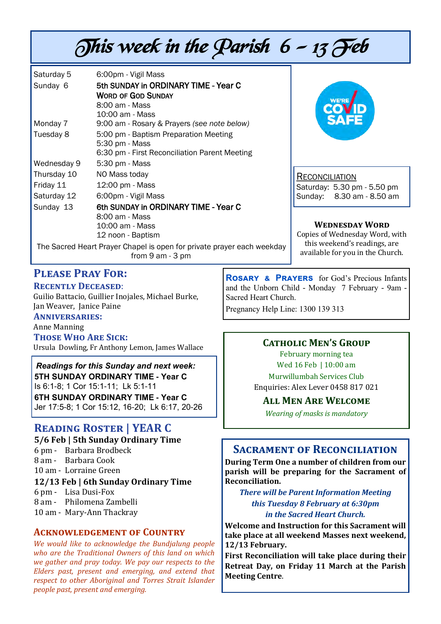# This week in the Parish  $6 - 13$  Feb

| Saturday 5                                                             | 6:00pm - Vigil Mass                                     |
|------------------------------------------------------------------------|---------------------------------------------------------|
| Sunday 6                                                               | 5th SUNDAY in ORDINARY TIME - Year C                    |
|                                                                        | <b>WORD OF GOD SUNDAY</b>                               |
|                                                                        | 8:00 am - Mass                                          |
|                                                                        | 10:00 am - Mass                                         |
| Monday 7                                                               | 9:00 am - Rosary & Prayers (see note below)             |
| Tuesday 8                                                              | 5:00 pm - Baptism Preparation Meeting<br>5:30 pm - Mass |
|                                                                        | 6:30 pm - First Reconciliation Parent Meeting           |
| Wednesday 9                                                            | 5:30 pm - Mass                                          |
| Thursday 10                                                            | NO Mass today                                           |
| Friday 11                                                              | 12:00 pm - Mass                                         |
| Saturday 12                                                            | 6:00pm - Vigil Mass                                     |
| Sunday 13                                                              | 6th SUNDAY in ORDINARY TIME - Year C                    |
|                                                                        | 8:00 am - Mass                                          |
|                                                                        | 10:00 am - Mass                                         |
|                                                                        | 12 noon - Baptism                                       |
| The Sacred Heart Prayer Chapel is open for private prayer each weekday |                                                         |

from 9 am - 3 pm



RECONCILIATION Saturday: 5.30 pm - 5.50 pm Sunday: 8.30 am - 8.50 am

**Wednesday Word**

Copies of Wednesday Word, with this weekend's readings, are available for you in the Church.

## **Please Pray For:**

#### **Recently Deceased**:

Guilio Battacio, Guillier Inojales, Michael Burke, Jan Weaver, Janice Paine **Anniversaries:** 

Anne Manning

**Those Who Are Sick:**  Ursula Dowling, Fr Anthony Lemon, James Wallace

*Readings for this Sunday and next week:*  **5TH SUNDAY ORDINARY TIME - Year C** Is 6:1-8; 1 Cor 15:1-11; Lk 5:1-11 **6TH SUNDAY ORDINARY TIME - Year C** Jer 17:5-8; 1 Cor 15:12, 16-20; Lk 6:17, 20-26

## **Reading Roster | YEAR C**

**5/6 Feb | 5th Sunday Ordinary Time** 

- 6 pm Barbara Brodbeck
- 8 am Barbara Cook

10 am - Lorraine Green

#### **12/13 Feb | 6th Sunday Ordinary Time**

6 pm - Lisa Dusi-Fox

- 8 am Philomena Zambelli
- 10 am Mary-Ann Thackray

#### **Acknowledgement of Country**

*We would like to acknowledge the Bundjalung people who are the Traditional Owners of this land on which we gather and pray today. We pay our respects to the Elders past, present and emerging, and extend that respect to other Aboriginal and Torres Strait Islander people past, present and emerging.* 

**Rosary & Prayers** for God's Precious Infants and the Unborn Child - Monday 7 February - 9am - Sacred Heart Church.

Pregnancy Help Line: 1300 139 313

#### **Catholic Men's Group**

February morning tea Wed 16 Feb | 10:00 am Murwillumbah Services Club Enquiries: Alex Lever 0458 817 021

#### **All Men Are Welcome**

*Wearing of masks is mandatory* 

## **Sacrament of Reconciliation**

**During Term One a number of children from our parish will be preparing for the Sacrament of Reconciliation.** 

#### *There will be Parent Information Meeting this Tuesday 8 February at 6:30pm in the Sacred Heart Church.*

**Welcome and Instruction for this Sacrament will take place at all weekend Masses next weekend, 12/13 February.** 

**First Reconciliation will take place during their Retreat Day, on Friday 11 March at the Parish Meeting Centre**.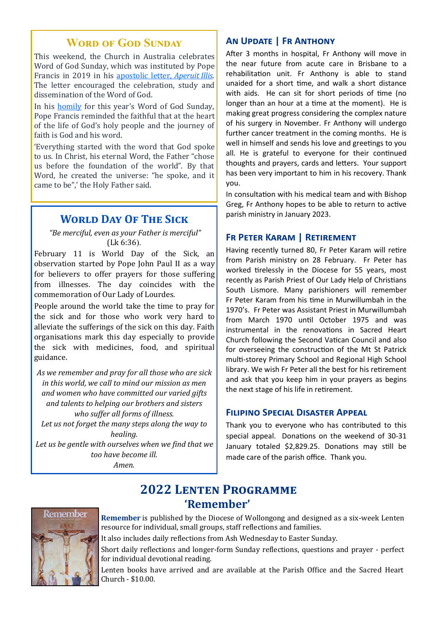## **WORD OF GOD SUNDAY**

This weekend, the Church in Australia celebrates Word of God Sunday, which was instituted by Pope Francis in 2019 in his [apostolic letter,](http://www.vatican.va/content/francesco/en/motu_proprio/documents/papa-francesco-motu-proprio-20190930_aperuit-illis.html) *Aperuit Illis*. The letter encouraged the celebration, study and dissemination of the Word of God.

In his [homily](https://www.vatican.va/content/francesco/en/homilies/2022/documents/20220123_omelia-domenicadellaparoladidio.html) for this year's Word of God Sunday, Pope Francis reminded the faithful that at the heart of the life of God's holy people and the journey of faith is God and his word.

'Everything started with the word that God spoke to us. In Christ, his eternal Word, the Father "chose us before the foundation of the world". By that Word, he created the universe: "he spoke, and it came to be",' the Holy Father said.

## **WORLD DAY OF THE SICK**

*"Be merciful, even as your Father is merciful"*  (Lk 6:36).

February 11 is World Day of the Sick, an observation started by Pope John Paul II as a way for believers to offer prayers for those suffering from illnesses. The day coincides with the commemoration of Our Lady of Lourdes.

People around the world take the time to pray for the sick and for those who work very hard to alleviate the sufferings of the sick on this day. Faith organisations mark this day especially to provide the sick with medicines, food, and spiritual guidance.

*As we remember and pray for all those who are sick in this world, we call to mind our mission as men and women who have committed our varied gifts and talents to helping our brothers and sisters who suffer all forms of illness. Let us not forget the many steps along the way to healing. Let us be gentle with ourselves when we find that we too have become ill.* 

*Amen.* 

## **An Update | Fr Anthony**

After 3 months in hospital, Fr Anthony will move in the near future from acute care in Brisbane to a rehabilitation unit. Fr Anthony is able to stand unaided for a short time, and walk a short distance with aids. He can sit for short periods of time (no longer than an hour at a time at the moment). He is making great progress considering the complex nature of his surgery in November. Fr Anthony will undergo further cancer treatment in the coming months. He is well in himself and sends his love and greetings to you all. He is grateful to everyone for their continued thoughts and prayers, cards and letters. Your support has been very important to him in his recovery. Thank you.

In consultation with his medical team and with Bishop Greg, Fr Anthony hopes to be able to return to active parish ministry in January 2023.

#### **Fr Peter Karam | Retirement**

Having recently turned 80, Fr Peter Karam will retire from Parish ministry on 28 February. Fr Peter has worked tirelessly in the Diocese for 55 years, most recently as Parish Priest of Our Lady Help of Christians South Lismore. Many parishioners will remember Fr Peter Karam from his time in Murwillumbah in the 1970's. Fr Peter was Assistant Priest in Murwillumbah from March 1970 until October 1975 and was instrumental in the renovations in Sacred Heart Church following the Second Vatican Council and also for overseeing the construction of the Mt St Patrick multi-storey Primary School and Regional High School library. We wish Fr Peter all the best for his retirement and ask that you keep him in your prayers as begins the next stage of his life in retirement.

#### **Filipino Special Disaster Appeal**

Thank you to everyone who has contributed to this special appeal. Donations on the weekend of 30-31 January totaled \$2,829.25. Donations may still be made care of the parish office. Thank you.

## **2022 Lenten Programme 'Remember'**

**Remember** is published by the Diocese of Wollongong and designed as a six-week Lenten resource for individual, small groups, staff reflections and families.

It also includes daily reflections from Ash Wednesday to Easter Sunday.

Short daily reflections and longer-form Sunday reflections, questions and prayer - perfect for individual devotional reading.

Lenten books have arrived and are available at the Parish Office and the Sacred Heart Church - \$10.00.